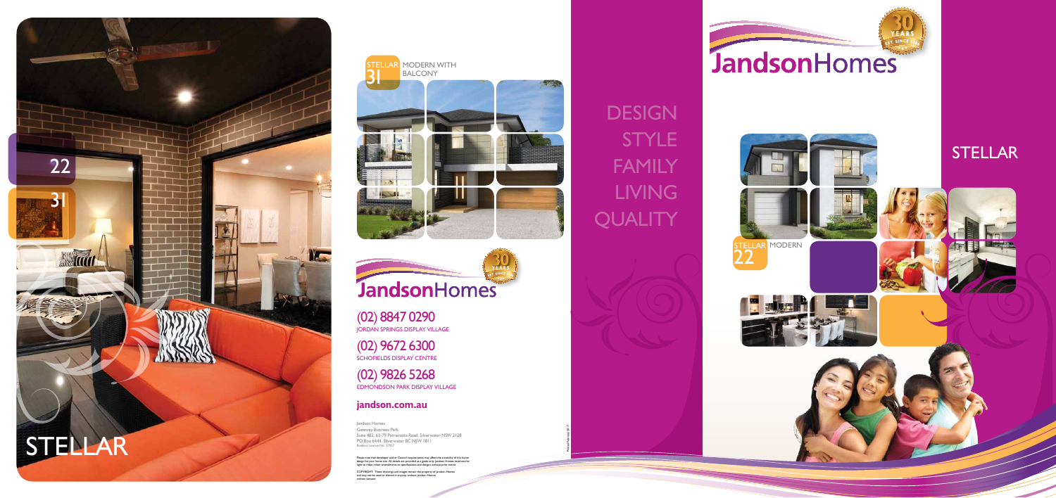

(02) 8847 0290 JORDAN SPRINGS DISPLAY VILLAGE

(02) 9672 6300 SCH O F IEL DS DI S PLAY CE NTRE

(02) 9826 5268 EDMONDSON PARK DISPLAY VILLA G E

## **jandson.com.au**

Jandson Homes Gateway Business Park Suite 402, 63-79 Parramatta Road, Silverwater NSW 2128 PO Box 6444, Silverwater BC NSW 1811 Builders Licence No: 37957

Please note that developer and or Council requirements may affect the suitability of this home<br>design for your home site. All details are provided as a guide only. Jandson Homes reserves the<br>right to make minor amendments

MODER N W ITH BALCONY **STELLAR**  $31$ 





COPYRIGHT: These drawings and images remain the property of Jandson Homes and may not be used or altered in anyway without Jandson Homes written consent.



## **DESIGN** STYLE FAMILY LIVING QUALITY

Printed February 2017